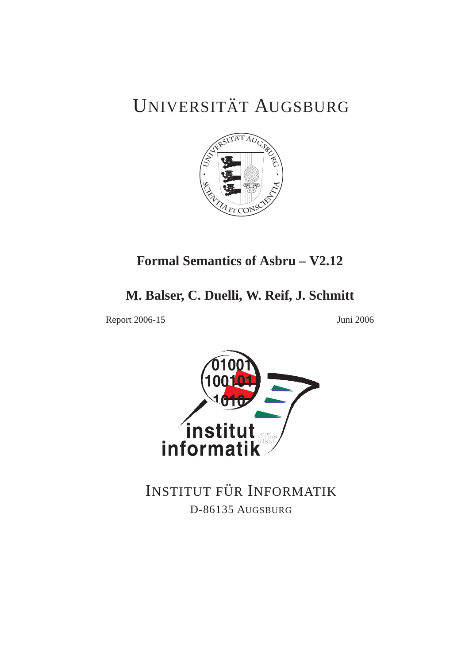# UNIVERSITÄT AUGSBURG



# **Formal Semantics of Asbru – V2.12**

# **M. Balser, C. Duelli, W. Reif, J. Schmitt**

Report 2006-15 Juni 2006



INSTITUT FÜR INFORMATIK D-86135 AUGSBURG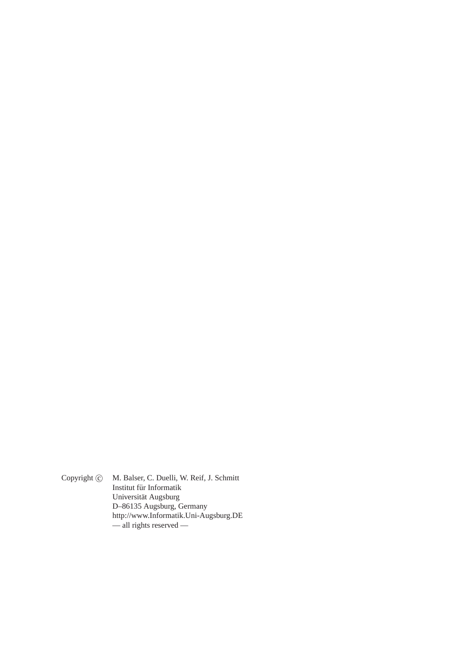Copyright  $\odot$  M. Balser, C. Duelli, W. Reif, J. Schmitt Institut für Informatik Universität Augsburg D–86135 Augsburg, Germany http://www.Informatik.Uni-Augsburg.DE — all rights reserved —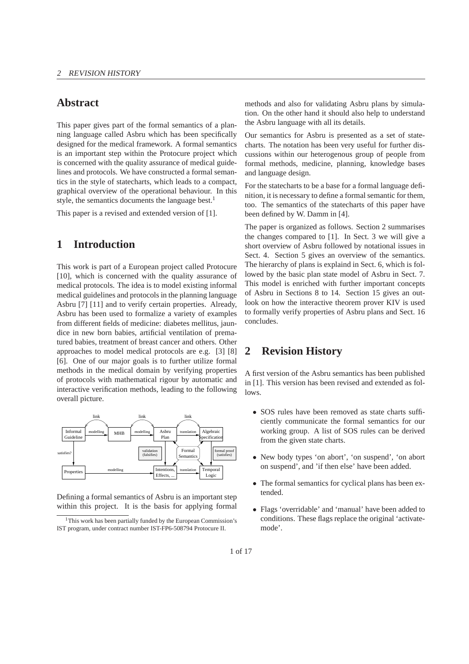# **Abstract**

This paper gives part of the formal semantics of a planning language called Asbru which has been specifically designed for the medical framework. A formal semantics is an important step within the Protocure project which is concerned with the quality assurance of medical guidelines and protocols. We have constructed a formal semantics in the style of statecharts, which leads to a compact, graphical overview of the operational behaviour. In this style, the semantics documents the language best.<sup>1</sup>

This paper is a revised and extended version of [1].

# **1 Introduction**

This work is part of a European project called Protocure [10], which is concerned with the quality assurance of medical protocols. The idea is to model existing informal medical guidelines and protocols in the planning language Asbru [7] [11] and to verify certain properties. Already, Asbru has been used to formalize a variety of examples from different fields of medicine: diabetes mellitus, jaundice in new born babies, artificial ventilation of prematured babies, treatment of breast cancer and others. Other approaches to model medical protocols are e.g. [3] [8] [6]. One of our major goals is to further utilize formal methods in the medical domain by verifying properties of protocols with mathematical rigour by automatic and interactive verification methods, leading to the following overall picture.



Defining a formal semantics of Asbru is an important step within this project. It is the basis for applying formal methods and also for validating Asbru plans by simulation. On the other hand it should also help to understand the Asbru language with all its details.

Our semantics for Asbru is presented as a set of statecharts. The notation has been very useful for further discussions within our heterogenous group of people from formal methods, medicine, planning, knowledge bases and language design.

For the statecharts to be a base for a formal language definition, it is necessary to define a formal semantic for them, too. The semantics of the statecharts of this paper have been defined by W. Damm in [4].

The paper is organized as follows. Section 2 summarises the changes compared to [1]. In Sect. 3 we will give a short overview of Asbru followed by notational issues in Sect. 4. Section 5 gives an overview of the semantics. The hierarchy of plans is explaind in Sect. 6, which is followed by the basic plan state model of Asbru in Sect. 7. This model is enriched with further important concepts of Asbru in Sections 8 to 14. Section 15 gives an outlook on how the interactive theorem prover KIV is used to formally verify properties of Asbru plans and Sect. 16 concludes.

# **2 Revision History**

A first version of the Asbru semantics has been published in [1]. This version has been revised and extended as follows.

- SOS rules have been removed as state charts sufficiently communicate the formal semantics for our working group. A list of SOS rules can be derived from the given state charts.
- New body types 'on abort', 'on suspend', 'on abort on suspend', and 'if then else' have been added.
- The formal semantics for cyclical plans has been extended.
- Flags 'overridable' and 'manual' have been added to conditions. These flags replace the original 'activatemode'.

<sup>&</sup>lt;sup>1</sup>This work has been partially funded by the European Commission's IST program, under contract number IST-FP6-508794 Protocure II.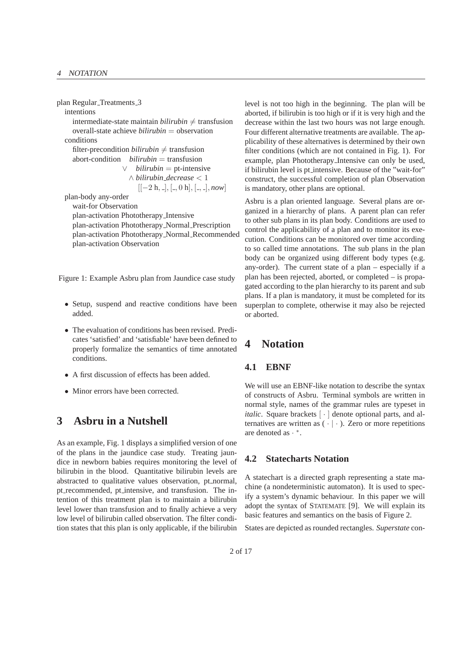plan Regular Treatments 3

intentions

intermediate-state maintain  $bili\nu b$   $\neq$  transfusion overall-state achieve *bilirubin* = observation conditions

filter-precondition  $bili\nu b$ in  $\neq$  transfusion abort-condition *bilirubin* = transfusion ∨ *bilirubin* = pt-intensive ∧ *bilirubin decrease* < 1  $[[-2 \text{ h}, \frac{\pi}{2}], [\frac{\pi}{2}, 0 \text{ h}], [\frac{\pi}{2}, \frac{\pi}{2}], \text{now}]$ plan-body any-order

wait-for Observation plan-activation Phototherapy Intensive plan-activation Phototherapy Normal Prescription plan-activation Phototherapy Normal Recommended plan-activation Observation

Figure 1: Example Asbru plan from Jaundice case study

- Setup, suspend and reactive conditions have been added.
- The evaluation of conditions has been revised. Predicates 'satisfied' and 'satisfiable' have been defined to properly formalize the semantics of time annotated conditions.
- A first discussion of effects has been added.
- Minor errors have been corrected.

# **3 Asbru in a Nutshell**

As an example, Fig. 1 displays a simplified version of one of the plans in the jaundice case study. Treating jaundice in newborn babies requires monitoring the level of bilirubin in the blood. Quantitative bilirubin levels are abstracted to qualitative values observation, pt normal, pt recommended, pt intensive, and transfusion. The intention of this treatment plan is to maintain a bilirubin level lower than transfusion and to finally achieve a very low level of bilirubin called observation. The filter condition states that this plan is only applicable, if the bilirubin level is not too high in the beginning. The plan will be aborted, if bilirubin is too high or if it is very high and the decrease within the last two hours was not large enough. Four different alternative treatments are available. The applicability of these alternatives is determined by their own filter conditions (which are not contained in Fig. 1). For example, plan Phototherapy Intensive can only be used, if bilirubin level is pt intensive. Because of the "wait-for" construct, the successful completion of plan Observation is mandatory, other plans are optional.

Asbru is a plan oriented language. Several plans are organized in a hierarchy of plans. A parent plan can refer to other sub plans in its plan body. Conditions are used to control the applicability of a plan and to monitor its execution. Conditions can be monitored over time according to so called time annotations. The sub plans in the plan body can be organized using different body types (e.g. any-order). The current state of a plan – especially if a plan has been rejected, aborted, or completed – is propagated according to the plan hierarchy to its parent and sub plans. If a plan is mandatory, it must be completed for its superplan to complete, otherwise it may also be rejected or aborted.

# **4 Notation**

## **4.1 EBNF**

We will use an EBNF-like notation to describe the syntax of constructs of Asbru. Terminal symbols are written in normal style, names of the grammar rules are typeset in *italic*. Square brackets  $\lceil \cdot \rceil$  denote optional parts, and alternatives are written as  $( \cdot | \cdot )$ . Zero or more repetitions are denoted as · ∗ .

## **4.2 Statecharts Notation**

A statechart is a directed graph representing a state machine (a nondeterministic automaton). It is used to specify a system's dynamic behaviour. In this paper we will adopt the syntax of STATEMATE [9]. We will explain its basic features and semantics on the basis of Figure 2.

States are depicted as rounded rectangles. *Superstate* con-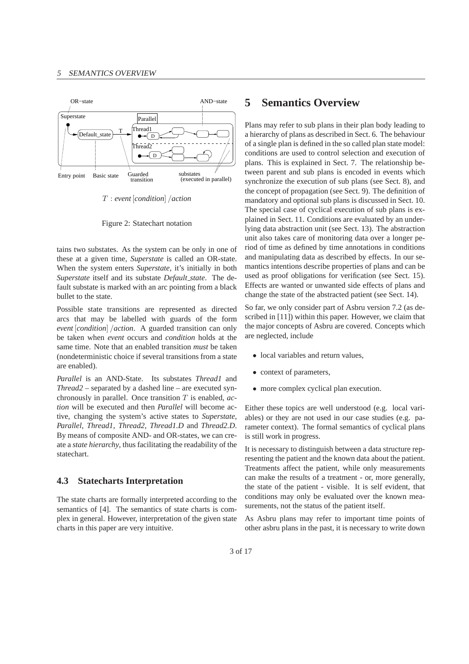

T : *event* [*condition*] /*action*

Figure 2: Statechart notation

tains two substates. As the system can be only in one of these at a given time, *Superstate* is called an OR-state. When the system enters *Superstate*, it's initially in both *Superstate* itself and its substate *Default state*. The default substate is marked with an arc pointing from a black bullet to the state.

Possible state transitions are represented as directed arcs that may be labelled with guards of the form *event* [*condition*] /*action*. A guarded transition can only be taken when *event* occurs and *condition* holds at the same time. Note that an enabled transition *must* be taken (nondeterministic choice if several transitions from a state are enabled).

*Parallel* is an AND-State. Its substates *Thread1* and *Thread2* – separated by a dashed line – are executed synchronously in parallel. Once transition T is enabled, *action* will be executed and then *Parallel* will become active, changing the system's active states to *Superstate*, *Parallel*, *Thread1*, *Thread2*, *Thread1.D* and *Thread2.D*. By means of composite AND- and OR-states, we can create a *state hierarchy*, thus facilitating the readability of the statechart.

#### **4.3 Statecharts Interpretation**

The state charts are formally interpreted according to the semantics of [4]. The semantics of state charts is complex in general. However, interpretation of the given state charts in this paper are very intuitive.

# **5 Semantics Overview**

Plans may refer to sub plans in their plan body leading to a hierarchy of plans as described in Sect. 6. The behaviour of a single plan is defined in the so called plan state model: conditions are used to control selection and execution of plans. This is explained in Sect. 7. The relationship between parent and sub plans is encoded in events which synchronize the execution of sub plans (see Sect. 8), and the concept of propagation (see Sect. 9). The definition of mandatory and optional sub plans is discussed in Sect. 10. The special case of cyclical execution of sub plans is explained in Sect. 11. Conditions are evaluated by an underlying data abstraction unit (see Sect. 13). The abstraction unit also takes care of monitoring data over a longer period of time as defined by time annotations in conditions and manipulating data as described by effects. In our semantics intentions describe properties of plans and can be used as proof obligations for verification (see Sect. 15). Effects are wanted or unwanted side effects of plans and change the state of the abstracted patient (see Sect. 14).

So far, we only consider part of Asbru version 7.2 (as described in [11]) within this paper. However, we claim that the major concepts of Asbru are covered. Concepts which are neglected, include

- local variables and return values,
- context of parameters.
- more complex cyclical plan execution.

Either these topics are well understood (e.g. local variables) or they are not used in our case studies (e.g. parameter context). The formal semantics of cyclical plans is still work in progress.

It is necessary to distinguish between a data structure representing the patient and the known data about the patient. Treatments affect the patient, while only measurements can make the results of a treatment - or, more generally, the state of the patient - visible. It is self evident, that conditions may only be evaluated over the known measurements, not the status of the patient itself.

As Asbru plans may refer to important time points of other asbru plans in the past, it is necessary to write down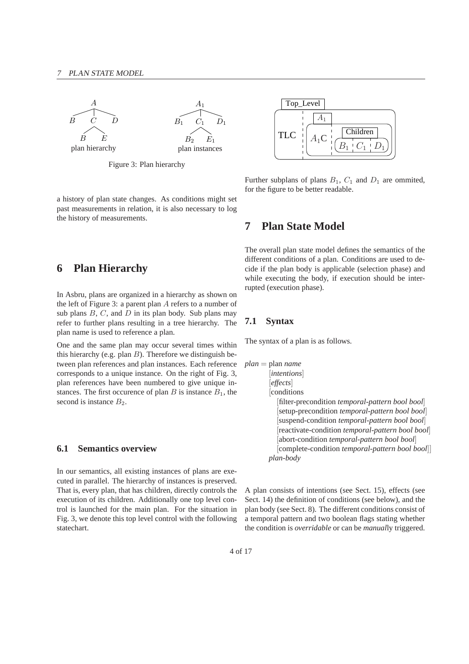

Figure 3: Plan hierarchy

a history of plan state changes. As conditions might set past measurements in relation, it is also necessary to log the history of measurements.

# **6 Plan Hierarchy**

In Asbru, plans are organized in a hierarchy as shown on the left of Figure 3: a parent plan A refers to a number of sub plans  $B, C$ , and  $D$  in its plan body. Sub plans may refer to further plans resulting in a tree hierarchy. The plan name is used to reference a plan.

One and the same plan may occur several times within this hierarchy (e.g. plan  $B$ ). Therefore we distinguish between plan references and plan instances. Each reference corresponds to a unique instance. On the right of Fig. 3, plan references have been numbered to give unique instances. The first occurence of plan  $B$  is instance  $B_1$ , the second is instance  $B_2$ .

## **6.1 Semantics overview**

In our semantics, all existing instances of plans are executed in parallel. The hierarchy of instances is preserved. That is, every plan, that has children, directly controls the execution of its children. Additionally one top level control is launched for the main plan. For the situation in Fig. 3, we denote this top level control with the following statechart.



Further subplans of plans  $B_1$ ,  $C_1$  and  $D_1$  are ommited, for the figure to be better readable.

## **7 Plan State Model**

The overall plan state model defines the semantics of the different conditions of a plan. Conditions are used to decide if the plan body is applicable (selection phase) and while executing the body, if execution should be interrupted (execution phase).

## **7.1 Syntax**

The syntax of a plan is as follows.

```
plan = plan name
        [intentions]
        [effects]
        [conditions
          [filter-precondition temporal-pattern bool bool]
           [setup-precondition temporal-pattern bool bool]
           [suspend-condition temporal-pattern bool bool]
           [reactivate-condition temporal-pattern bool bool]
           [abort-condition temporal-pattern bool bool]
          [complete-condition temporal-pattern bool bool]]
       plan-body
```
A plan consists of intentions (see Sect. 15), effects (see Sect. 14) the definition of conditions (see below), and the plan body (see Sect. 8). The different conditions consist of a temporal pattern and two boolean flags stating whether the condition is *overridable* or can be *manual*ly triggered.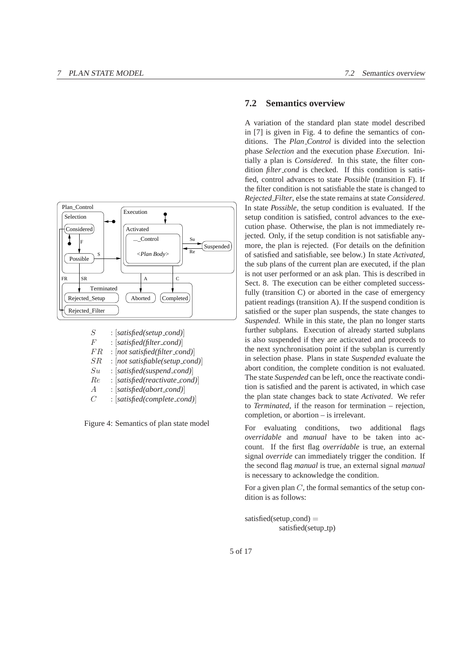

| S       | $: [satisfied(selfup\_cond)]$      |
|---------|------------------------------------|
| F       | $: [satisfied(filter\_cond)]$      |
| FR      | $: [not satisfied(filter_{cond})]$ |
| $_{SR}$ | : [not satisfiable(setup_cond)]    |
| $S_{u}$ | $: [satisfied(suspended)\]$        |
| Re      | : [satisfied(reactivate_cond)]     |
| А       | $: [satisfied(abort_cond)]$        |
| C       | : [satisfied(complete_cond)]       |

Figure 4: Semantics of plan state model

#### **7.2 Semantics overview**

A variation of the standard plan state model described in [7] is given in Fig. 4 to define the semantics of conditions. The *Plan Control* is divided into the selection phase *Selection* and the execution phase *Execution*. Initially a plan is *Considered*. In this state, the filter condition *filter\_cond* is checked. If this condition is satisfied, control advances to state *Possible* (transition F). If the filter condition is not satisfiable the state is changed to *Rejected Filter*, else the state remains at state *Considered*. In state *Possible*, the setup condition is evaluated. If the setup condition is satisfied, control advances to the execution phase. Otherwise, the plan is not immediately rejected. Only, if the setup condition is not satisfiable anymore, the plan is rejected. (For details on the definition of satisfied and satisfiable, see below.) In state *Activated*, the sub plans of the current plan are executed, if the plan is not user performed or an ask plan. This is described in Sect. 8. The execution can be either completed successfully (transition C) or aborted in the case of emergency patient readings (transition A). If the suspend condition is satisfied or the super plan suspends, the state changes to *Suspended*. While in this state, the plan no longer starts further subplans. Execution of already started subplans is also suspended if they are acticvated and proceeds to the next synchronisation point if the subplan is currently in selection phase. Plans in state *Suspended* evaluate the abort condition, the complete condition is not evaluated. The state *Suspended* can be left, once the reactivate condition is satisfied and the parent is activated, in which case the plan state changes back to state *Activated*. We refer to *Terminated*, if the reason for termination – rejection, completion, or abortion – is irrelevant.

For evaluating conditions, two additional flags *overridable* and *manual* have to be taken into account. If the first flag *overridable* is true, an external signal *override* can immediately trigger the condition. If the second flag *manual* is true, an external signal *manual* is necessary to acknowledge the condition.

For a given plan  $C$ , the formal semantics of the setup condition is as follows:

```
satisfied(setup_cond) =satisfied(setup_tp)
```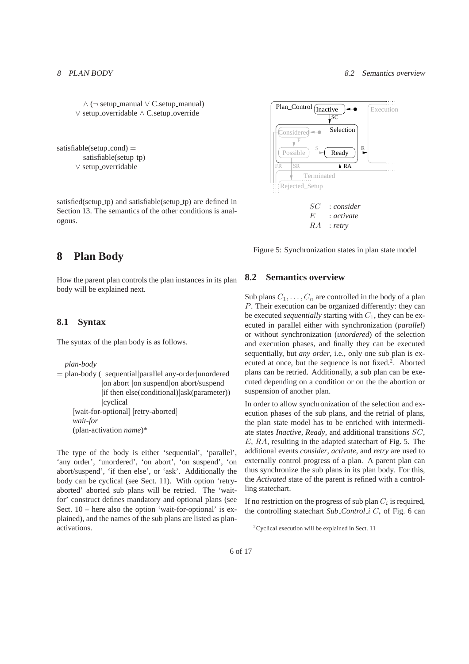∧ (¬ setup manual ∨ C.setup manual) ∨ setup overridable ∧ C.setup override

satisfiable(setup\_cond)  $=$ satisfiable(setup\_tp) ∨ setup overridable

satisfied(setup\_tp) and satisfiable(setup\_tp) are defined in Section 13. The semantics of the other conditions is analogous.

# **8 Plan Body**

How the parent plan controls the plan instances in its plan body will be explained next.

### **8.1 Syntax**

The syntax of the plan body is as follows.

*plan-body*

```
= plan-body ( sequential|parallel|any-order|unordered
              |on abort |on suspend|on abort/suspend
              |if then else(conditional)|ask(parameter))
              |cyclical
     [wait-for-optional] [retry-aborted]
    wait-for
    (plan-activation name)*
```
The type of the body is either 'sequential', 'parallel', 'any order', 'unordered', 'on abort', 'on suspend', 'on abort/suspend', 'if then else', or 'ask'. Additionally the body can be cyclical (see Sect. 11). With option 'retryaborted' aborted sub plans will be retried. The 'waitfor' construct defines mandatory and optional plans (see Sect. 10 – here also the option 'wait-for-optional' is explained), and the names of the sub plans are listed as planactivations.



Figure 5: Synchronization states in plan state model

#### **8.2 Semantics overview**

Sub plans  $C_1, \ldots, C_n$  are controlled in the body of a plan P. Their execution can be organized differently: they can be executed *sequentially* starting with  $C_1$ , they can be executed in parallel either with synchronization (*parallel*) or without synchronization (*unordered*) of the selection and execution phases, and finally they can be executed sequentially, but *any order*, i.e., only one sub plan is executed at once, but the sequence is not fixed.<sup>2</sup>. Aborted plans can be retried. Additionally, a sub plan can be executed depending on a condition or on the the abortion or suspension of another plan.

In order to allow synchronization of the selection and execution phases of the sub plans, and the retrial of plans, the plan state model has to be enriched with intermediate states *Inactive*, *Ready*, and additional transitions SC, E, RA, resulting in the adapted statechart of Fig. 5. The additional events *consider*, *activate*, and *retry* are used to externally control progress of a plan. A parent plan can thus synchronize the sub plans in its plan body. For this, the *Activated* state of the parent is refined with a controlling statechart.

If no restriction on the progress of sub plan  $C_i$  is required, the controlling statechart *Sub Control i*  $C_i$  of Fig. 6 can

 $2$ Cyclical execution will be explained in Sect. 11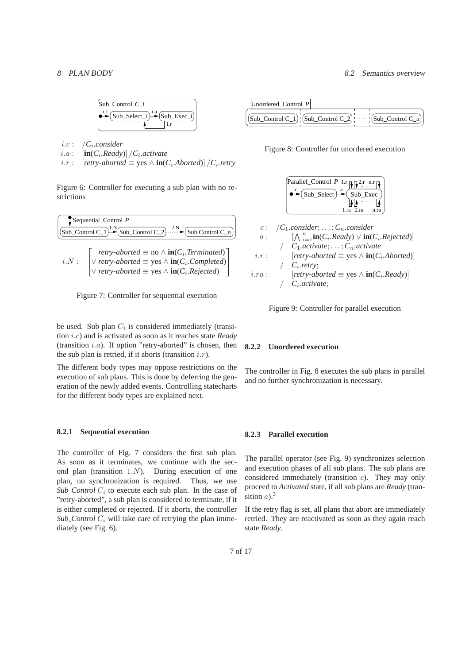

- $i.c$  : *.consider*
- $i.a: \quad [\text{in}(C_i, Ready)] / C_i.$ *activate*
- *i*.*r* :  $[$ *retry-aborted*  $\equiv$  yes ∧ **in**( $C_i$ .*Aborted*)]  $/C_i$ .*retry*

Figure 6: Controller for executing a sub plan with no restrictions

$$
g_{\text{sub\_Control C_1}} \xrightarrow{P} g_{\text{sub\_Control C_2}} \xrightarrow{2. N} g_{\text{sub\_Control C_1}}
$$

*i.N* : 
$$
\begin{bmatrix} \textit{retry-aborted} \equiv \text{no} \land \text{in}(C_i.\textit{Terminated}) \\ \lor \textit{retry-aborted} \equiv \text{yes} \land \text{in}(C_i.\textit{Completed}) \\ \lor \textit{retry-aborted} \equiv \text{yes} \land \text{in}(C_i.\textit{Rejected}) \end{bmatrix}
$$



be used. Sub plan  $C_i$  is considered immediately (transition i.c) and is activated as soon as it reaches state *Ready* (transition  $i.a$ ). If option "retry-aborted" is chosen, then the sub plan is retried, if it aborts (transition  $i.r$ ).

The different body types may oppose restrictions on the execution of sub plans. This is done by deferring the generation of the newly added events. Controlling statecharts for the different body types are explained next.

#### **8.2.1 Sequential execution**

The controller of Fig. 7 considers the first sub plan. As soon as it terminates, we continue with the second plan (transition 1.N). During execution of one plan, no synchronization is required. Thus, we use  $Sub_{\text{1}}$  *Control*  $C_i$  to execute each sub plan. In the case of "retry-aborted", a sub plan is considered to terminate, if it is either completed or rejected. If it aborts, the controller *Sub Control*  $C_i$  will take care of retrying the plan immediately (see Fig. 6).



Figure 8: Controller for unordered execution



$$
i.r. \qquad \text{[very-avoid} = \text{yes} \land \text{in}(C_i, \text{non-adj})
$$
\n
$$
i.r. \qquad \text{[rtry-aborted]} = \text{yes} \land \text{in}(C_i, \text{Ready})
$$
\n
$$
i.r. \qquad \text{[rtry-aborted]} = \text{yes} \land \text{in}(C_i, \text{Ready})
$$



#### **8.2.2 Unordered execution**

The controller in Fig. 8 executes the sub plans in parallel and no further synchronization is necessary.

#### **8.2.3 Parallel execution**

The parallel operator (see Fig. 9) synchronizes selection and execution phases of all sub plans. The sub plans are considered immediately (transition c). They may only proceed to *Activated* state, if all sub plans are *Ready* (transition  $a$ ).<sup>3</sup>

If the retry flag is set, all plans that abort are immediately retried. They are reactivated as soon as they again reach state *Ready*.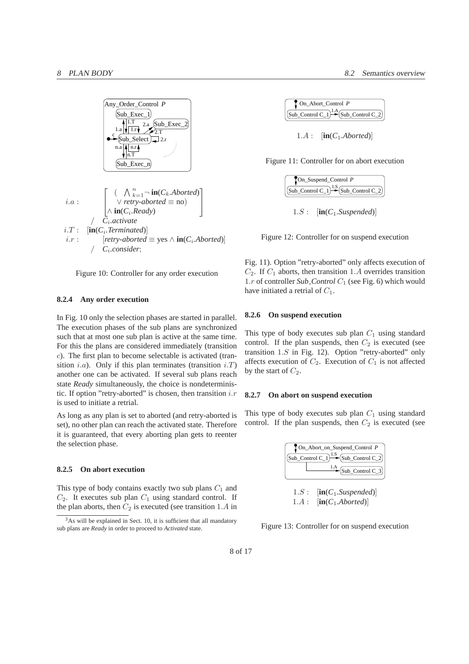



#### **8.2.4 Any order execution**

In Fig. 10 only the selection phases are started in parallel. The execution phases of the sub plans are synchronized such that at most one sub plan is active at the same time. For this the plans are considered immediately (transition c). The first plan to become selectable is activated (transition *i.a*). Only if this plan terminates (transition  $i.T$ ) another one can be activated. If several sub plans reach state *Ready* simultaneously, the choice is nondeterministic. If option "retry-aborted" is chosen, then transition  $i.r$ is used to initiate a retrial.

As long as any plan is set to aborted (and retry-aborted is set), no other plan can reach the activated state. Therefore it is guaranteed, that every aborting plan gets to reenter the selection phase.

#### **8.2.5 On abort execution**

This type of body contains exactly two sub plans  $C_1$  and  $C_2$ . It executes sub plan  $C_1$  using standard control. If the plan aborts, then  $C_2$  is executed (see transition 1.A in

| On Abort Control P                            |
|-----------------------------------------------|
| Sub_Control C_1 $\rightarrow$ Sub_Control C_2 |

1.A : [**in**(*C*1*.Aborted*)]

Figure 11: Controller for on abort execution

| TOn_Suspend_Control P                                                                                 |
|-------------------------------------------------------------------------------------------------------|
| $\left  \left( \text{Sub\_Control C\_1} \right) \right  \sim \left  \text{Sub\_Control C\_2} \right $ |
|                                                                                                       |

1.S : [**in**(*C*1*.Suspended*)]

Figure 12: Controller for on suspend execution

Fig. 11). Option "retry-aborted" only affects execution of  $C_2$ . If  $C_1$  aborts, then transition 1.A overrides transition 1.*r* of controller *Sub Control*  $C_1$  (see Fig. 6) which would have initiated a retrial of  $C_1$ .

#### **8.2.6 On suspend execution**

This type of body executes sub plan  $C_1$  using standard control. If the plan suspends, then  $C_2$  is executed (see transition 1.S in Fig. 12). Option "retry-aborted" only affects execution of  $C_2$ . Execution of  $C_1$  is not affected by the start of  $C_2$ .

#### **8.2.7 On abort on suspend execution**

This type of body executes sub plan  $C_1$  using standard control. If the plan suspends, then  $C_2$  is executed (see

| On_Abort_on_Suspend_Control P |                                                          |  |  |
|-------------------------------|----------------------------------------------------------|--|--|
|                               | $(Sub\_Control C_1)$ <sup>1.S</sup> $(Sub\_Control C_2)$ |  |  |
|                               | $\frac{1.A}{\text{Sub\_Control C_3}}$                    |  |  |

 $1.S:$   $\lbrack \text{in}(C_1.Suspended)\rbrack$  $1.A:$   $[\text{in}(C_1.Aborted)]$ 

Figure 13: Controller for on suspend execution

<sup>&</sup>lt;sup>3</sup>As will be explained in Sect. 10, it is sufficient that all mandatory sub plans are *Ready* in order to proceed to *Activated* state.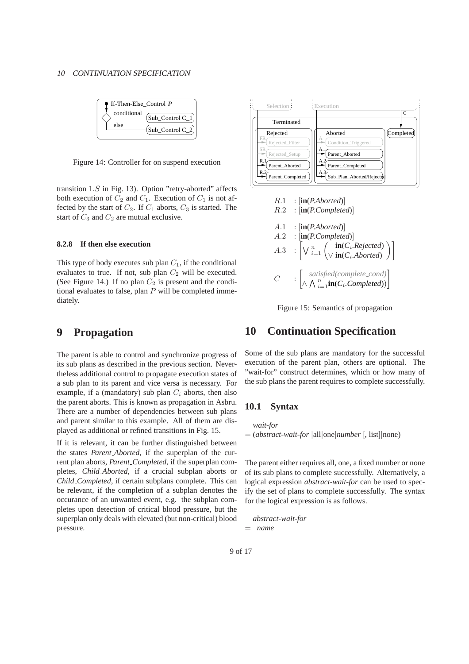| $\bullet$ If-Then-Else Control P |                           |  |  |  |
|----------------------------------|---------------------------|--|--|--|
| conditional<br>else              | $\text{Sub\_Control C_1}$ |  |  |  |
|                                  | Sub Control C 2           |  |  |  |

Figure 14: Controller for on suspend execution

transition  $1.S$  in Fig. 13). Option "retry-aborted" affects both execution of  $C_2$  and  $C_1$ . Execution of  $C_1$  is not affected by the start of  $C_2$ . If  $C_1$  aborts,  $C_3$  is started. The start of  $C_3$  and  $C_2$  are mutual exclusive.

#### **8.2.8 If then else execution**

This type of body executes sub plan  $C_1$ , if the conditional evaluates to true. If not, sub plan  $C_2$  will be executed. (See Figure 14.) If no plan  $C_2$  is present and the conditional evaluates to false, plan  $P$  will be completed immediately.

# **9 Propagation**

The parent is able to control and synchronize progress of its sub plans as described in the previous section. Nevertheless additional control to propagate execution states of a sub plan to its parent and vice versa is necessary. For example, if a (mandatory) sub plan  $C_i$  aborts, then also the parent aborts. This is known as propagation in Asbru. There are a number of dependencies between sub plans and parent similar to this example. All of them are displayed as additional or refined transitions in Fig. 15.

If it is relevant, it can be further distinguished between the states *Parent Aborted*, if the superplan of the current plan aborts, *Parent Completed*, if the superplan completes, *Child Aborted*, if a crucial subplan aborts or *Child Completed*, if certain subplans complete. This can be relevant, if the completion of a subplan denotes the occurance of an unwanted event, e.g. the subplan completes upon detection of critical blood pressure, but the superplan only deals with elevated (but non-critical) blood pressure.



Figure 15: Semantics of propagation

## **10 Continuation Specification**

Some of the sub plans are mandatory for the successful execution of the parent plan, others are optional. The "wait-for" construct determines, which or how many of the sub plans the parent requires to complete successfully.

### **10.1 Syntax**

*wait-for* = (*abstract-wait-for* |all|one|*number* [, list]|none)

The parent either requires all, one, a fixed number or none of its sub plans to complete successfully. Alternatively, a logical expression *abstract-wait-for* can be used to specify the set of plans to complete successfully. The syntax for the logical expression is as follows.

*abstract-wait-for* = *name*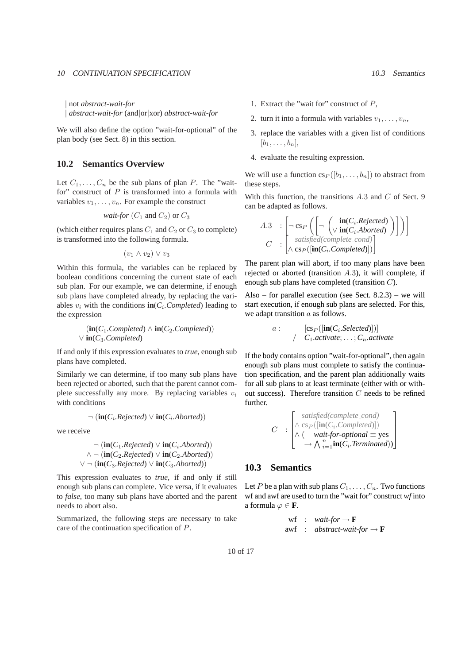| not *abstract-wait-for* | *abstract-wait-for* (and|or|xor) *abstract-wait-for*

We will also define the option "wait-for-optional" of the plan body (see Sect. 8) in this section.

## **10.2 Semantics Overview**

Let  $C_1, \ldots, C_n$  be the sub plans of plan P. The "waitfor" construct of  $P$  is transformed into a formula with variables  $v_1, \ldots, v_n$ . For example the construct

*wait-for* 
$$
(C_1
$$
 and  $C_2)$  or  $C_3$ 

(which either requires plans  $C_1$  and  $C_2$  or  $C_3$  to complete) is transformed into the following formula.

$$
(v_1 \wedge v_2) \vee v_3
$$

Within this formula, the variables can be replaced by boolean conditions concerning the current state of each sub plan. For our example, we can determine, if enough sub plans have completed already, by replacing the variables  $v_i$  with the conditions  $\text{in}(C_i$ . *Completed*) leading to the expression

$$
\langle \mathbf{in}(C_1.\mathit{Completed}) \wedge \mathbf{in}(C_2.\mathit{Completed}) \rangle
$$
  

$$
\vee \mathbf{in}(C_3.\mathit{Completed})
$$

If and only if this expression evaluates to *true*, enough sub plans have completed.

Similarly we can determine, if too many sub plans have been rejected or aborted, such that the parent cannot complete successfully any more. By replacing variables  $v_i$ with conditions

$$
\neg (\textbf{in}(C_i \textit{Rejected}) \lor \textbf{in}(C_i \textit{Aborted}))
$$

we receive

$$
\neg (\textbf{in}(C_1, Rejected) \lor \textbf{in}(C_i. Aborted))
$$
  

$$
\land \neg (\textbf{in}(C_2. Rejected) \lor \textbf{in}(C_2. Aborted))
$$
  

$$
\lor \neg (\textbf{in}(C_3. Rejected) \lor \textbf{in}(C_3. Aborted))
$$

This expression evaluates to *true*, if and only if still enough sub plans can complete. Vice versa, if it evaluates to *false*, too many sub plans have aborted and the parent needs to abort also.

Summarized, the following steps are necessary to take care of the continuation specification of P.

- 1. Extract the "wait for" construct of  $P$ ,
- 2. turn it into a formula with variables  $v_1, \ldots, v_n$ ,
- 3. replace the variables with a given list of conditions  $[b_1, \ldots, b_n],$
- 4. evaluate the resulting expression.

We will use a function  $cs_P([b_1, \ldots, b_n])$  to abstract from these steps.

With this function, the transitions  $A.3$  and  $C$  of Sect. 9 can be adapted as follows.

$$
A.3 : \left[ \neg \text{cs}_P \left( \left[ \neg \left( \text{in}(C_i \text{.Rejected}) \right) \right] \right) \right]
$$
  

$$
C : \left[ \text{satisfied}(complete\text{.cond}) \right]
$$
  

$$
\land \text{cs}_P(\left[ \text{in}(C_i \text{.Completed}) \right] )
$$

The parent plan will abort, if too many plans have been rejected or aborted (transition A.3), it will complete, if enough sub plans have completed (transition C).

Also – for parallel execution (see Sect. 8.2.3) – we will start execution, if enough sub plans are selected. For this, we adapt transition a as follows.

a: 
$$
[\operatorname{cs}_P([\operatorname{in}(C_i.Selected)])]
$$
  
/  $C_1.activate; \ldots; C_n.activate$ 

If the body contains option "wait-for-optional", then again enough sub plans must complete to satisfy the continuation specification, and the parent plan additionally waits for all sub plans to at least terminate (either with or without success). Therefore transition C needs to be refined further.

$$
C : \begin{bmatrix} satisfied(complete\_cond) \\ \wedge cs_P([in(C_i.Completed)]) \\ \wedge (wait-for-optional \equiv yes \\ \rightarrow \wedge i=1 \textbf{in}(C_i.Terminated)) \end{bmatrix}
$$

## **10.3 Semantics**

Let P be a plan with sub plans  $C_1, \ldots, C_n$ . Two functions wf and awf are used to turn the "wait for" construct *wf* into a formula  $\varphi \in \mathbf{F}$ .

$$
\begin{array}{rcl}\n\text{wf} & : & wait-for \rightarrow \mathbf{F} \\
\text{awf} & : & abstract-wait-for \rightarrow \mathbf{F}\n\end{array}
$$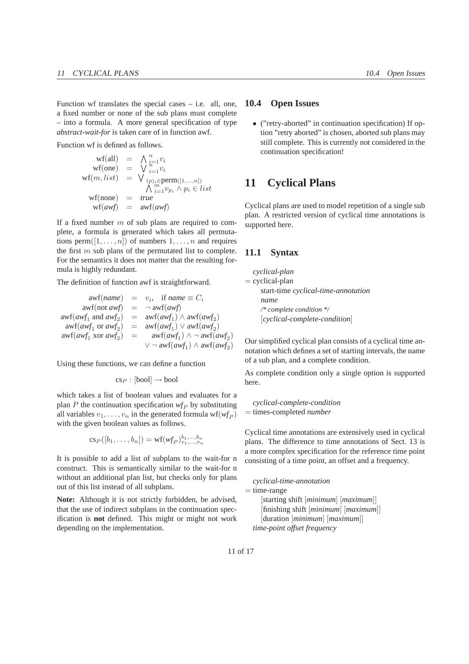Function wf translates the special cases  $-$  i.e. all, one, a fixed number or none of the sub plans must complete – into a formula. A more general specification of type *abstract-wait-for* is taken care of in function awf.

Function wf is defined as follows.

$$
\begin{array}{rcl}\n\text{wf}\n\text{(all)} & = & \bigwedge_{i=1}^{n} v_i \\
\text{wf}(\text{one}) & = & \bigvee_{i=1}^{n} v_i \\
\text{wf}(m, list) & = & \bigvee_{(p)_i \in \text{perm}([1,...,n])} \\
&\bigwedge_{i=1}^{m} v_p_i \land p_i \in list \\
\text{wf}(\text{none}) & = & true \\
\text{wf}(awf) & = & \text{avr}(awf)\n\end{array}
$$

If a fixed number  $m$  of sub plans are required to complete, a formula is generated which takes all permutations perm $([1, \ldots, n])$  of numbers  $1, \ldots, n$  and requires the first  $m$  sub plans of the permutated list to complete. For the semantics it does not matter that the resulting formula is highly redundant.

The definition of function awf is straightforward.

$$
awf(name) = v_i, \text{ if } name \equiv C_i
$$
  
\n
$$
awf(not awf) = \neg awf(awf)
$$
  
\n
$$
awf(awf_1 \text{ and } awf_2) = awf(awf_1) \land awf(awf_2)
$$
  
\n
$$
awf(awf_1 \text{ or } awf_2) = awf(awf_1) \lor awf(awf_2)
$$
  
\n
$$
awf(awf_1 \text{ xor } awf_2) = awf(awf_1) \land \neg awf(awf_2)
$$
  
\n
$$
\lor \neg awf(awf_1) \land awf(awf_2)
$$

Using these functions, we can define a function

$$
\mathrm{cs}_P : [\mathrm{bool}] \to \mathrm{bool}
$$

which takes a list of boolean values and evaluates for a plan  $P$  the continuation specification  $wf_P$  by substituting all variables  $v_1, \ldots, v_n$  in the generated formula  $\mathsf{wf}_{P}$ ) with the given boolean values as follows.

$$
cs_P([b_1,\ldots,b_n]) = \mathrm{wf}(wf_P)_{v_1,\ldots,v_n}^{b_1,\ldots,b_n}
$$

It is possible to add a list of subplans to the wait-for n construct. This is semantically similar to the wait-for n without an additional plan list, but checks only for plans out of this list instead of all subplans.

**Note:** Although it is not strictly forbidden, be advised, that the use of indirect subplans in the continuation specification is **not** defined. This might or might not work depending on the implementation.

### **10.4 Open Issues**

• ("retry-aborted" in continuation specification) If option "retry aborted" is chosen, aborted sub plans may still complete. This is currently not considered in the continuation specification!

# **11 Cyclical Plans**

Cyclical plans are used to model repetition of a single sub plan. A restricted version of cyclical time annotations is supported here.

### **11.1 Syntax**

*cyclical-plan*  $=$  cyclical-plan start-time *cyclical-time-annotation name /\* complete condition \*/* [*cyclical-complete-condition*]

Our simplified cyclical plan consists of a cyclical time annotation which defines a set of starting intervals, the name of a sub plan, and a complete condition.

As complete condition only a single option is supported here.

*cyclical-complete-condition* = times-completed *number*

Cyclical time annotations are extensively used in cyclical plans. The difference to time annotations of Sect. 13 is a more complex specification for the reference time point consisting of a time point, an offset and a frequency.

*cyclical-time-annotation*

```
= time-range
```
[starting shift [*minimum*] [*maximum*]] [finishing shift [*minimum*] [*maximum*]] [duration [*minimum*] [*maximum*]] *time-point offset frequency*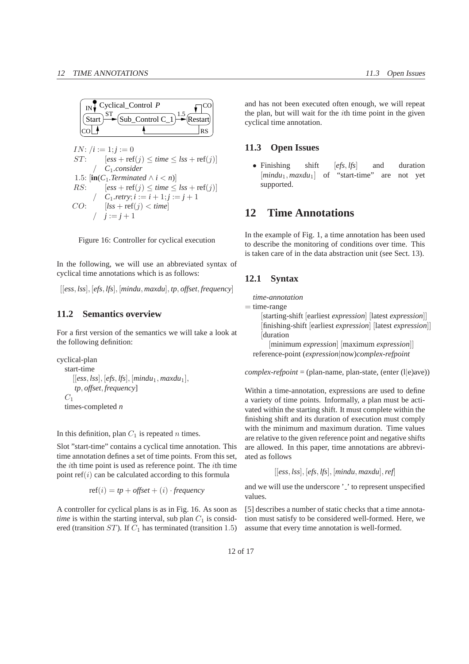

 $IN: /i := 1; j := 0$  $ST:$   $[ess + ref(j) < time < lss + ref(j)]$ / *C*1*.consider* 1.5:  $[\mathbf{in}(C_1, Terminated \wedge i < n)]$ RS:  $[ess + ref(i) < time < lss + ref(i)]$  $C_1$ *.retry*;  $i := i + 1; j := j + 1$ CO:  $[lss + ref(j) < time]$  $j := j + 1$ 

Figure 16: Controller for cyclical execution

In the following, we will use an abbreviated syntax of cyclical time annotations which is as follows:

[[*ess*, *lss*], [*efs*, *lfs*], [*mindu*, *maxdu*], *tp*, *offset*, *frequency*]

#### **11.2 Semantics overview**

For a first version of the semantics we will take a look at the following definition:

```
cyclical-plan
  start-time
     [[ess, lss], [efs, lfs], [mindu1, maxdu1],
      tp, offset, frequency]
  C_1times-completed n
```
In this definition, plan  $C_1$  is repeated n times.

Slot "start-time" contains a cyclical time annotation. This time annotation defines a set of time points. From this set, the *i*th time point is used as reference point. The *i*th time point  $ref(i)$  can be calculated according to this formula

$$
ref(i) = tp + offset + (i) \cdot frequency
$$

A controller for cyclical plans is as in Fig. 16. As soon as *time* is within the starting interval, sub plan  $C_1$  is considered (transition  $ST$ ). If  $C_1$  has terminated (transition 1.5)

and has not been executed often enough, we will repeat the plan, but will wait for the ith time point in the given cyclical time annotation.

## **11.3 Open Issues**

• Finishing shift [*efs*, *lfs*] and duration [*mindu*<sub>1</sub>, *maxdu*<sub>1</sub>] of "start-time" are not yet supported.

## **12 Time Annotations**

In the example of Fig. 1, a time annotation has been used to describe the monitoring of conditions over time. This is taken care of in the data abstraction unit (see Sect. 13).

## **12.1 Syntax**

*time-annotation*

```
= time-range
```
[starting-shift [earliest *expression*] [latest *expression*]] [finishing-shift [earliest *expression*] [latest *expression*]] [duration [minimum *expression*] [maximum *expression*]] reference-point (*expression*|now)*complex-refpoint*

 $complex-refpoint = (plan-name, plan-state, (enter (l|e)ave))$ 

Within a time-annotation, expressions are used to define a variety of time points. Informally, a plan must be activated within the starting shift. It must complete within the finishing shift and its duration of execution must comply with the minimum and maximum duration. Time values are relative to the given reference point and negative shifts are allowed. In this paper, time annotations are abbreviated as follows

```
[[ess, lss], [efs, lfs], [mindu, maxdu],ref]
```
and we will use the underscore '.' to represent unspecified values.

[5] describes a number of static checks that a time annotation must satisfy to be considered well-formed. Here, we assume that every time annotation is well-formed.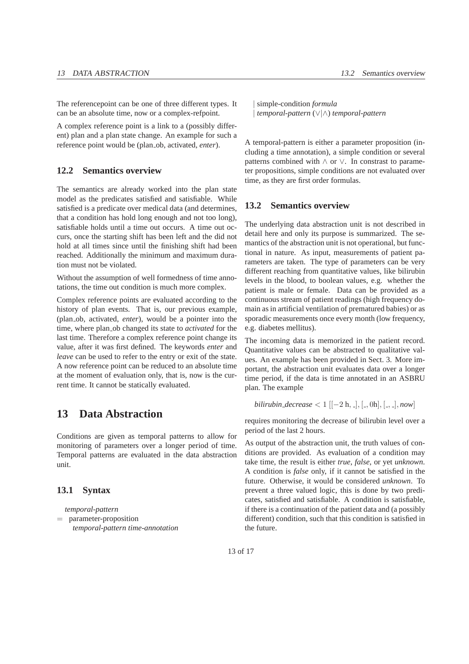The referencepoint can be one of three different types. It can be an absolute time, now or a complex-refpoint.

A complex reference point is a link to a (possibly different) plan and a plan state change. An example for such a reference point would be (plan ob, activated, *enter*).

## **12.2 Semantics overview**

The semantics are already worked into the plan state model as the predicates satisfied and satisfiable. While satisfied is a predicate over medical data (and determines, that a condition has hold long enough and not too long), satisfiable holds until a time out occurs. A time out occurs, once the starting shift has been left and the did not hold at all times since until the finishing shift had been reached. Additionally the minimum and maximum duration must not be violated.

Without the assumption of well formedness of time annotations, the time out condition is much more complex.

Complex reference points are evaluated according to the history of plan events. That is, our previous example, (plan ob, activated, *enter*), would be a pointer into the time, where plan ob changed its state to *activated* for the last time. Therefore a complex reference point change its value, after it was first defined. The keywords *enter* and *leave* can be used to refer to the entry or exit of the state. A now reference point can be reduced to an absolute time at the moment of evaluation only, that is, now is the current time. It cannot be statically evaluated.

# **13 Data Abstraction**

Conditions are given as temporal patterns to allow for monitoring of parameters over a longer period of time. Temporal patterns are evaluated in the data abstraction unit.

### **13.1 Syntax**

*temporal-pattern* = parameter-proposition *temporal-pattern time-annotation* | simple-condition *formula* | *temporal-pattern* (∨|∧) *temporal-pattern*

A temporal-pattern is either a parameter proposition (including a time annotation), a simple condition or several patterns combined with ∧ or ∨. In constrast to parameter propositions, simple conditions are not evaluated over time, as they are first order formulas.

#### **13.2 Semantics overview**

The underlying data abstraction unit is not described in detail here and only its purpose is summarized. The semantics of the abstraction unit is not operational, but functional in nature. As input, measurements of patient parameters are taken. The type of parameters can be very different reaching from quantitative values, like bilirubin levels in the blood, to boolean values, e.g. whether the patient is male or female. Data can be provided as a continuous stream of patient readings (high frequency domain as in artificial ventilation of prematured babies) or as sporadic measurements once every month (low frequency, e.g. diabetes mellitus).

The incoming data is memorized in the patient record. Quantitative values can be abstracted to qualitative values. An example has been provided in Sect. 3. More important, the abstraction unit evaluates data over a longer time period, if the data is time annotated in an ASBRU plan. The example

*bilirubin\_decrease* < 
$$
1 \left[ [-2 \, \text{h}, \, \text{-} \right], [-, 0 \, \text{h}], [-, \, \text{-}], now \right]
$$

requires monitoring the decrease of bilirubin level over a period of the last 2 hours.

As output of the abstraction unit, the truth values of conditions are provided. As evaluation of a condition may take time, the result is either *true*, *false*, or yet *unknown*. A condition is *false* only, if it cannot be satisfied in the future. Otherwise, it would be considered *unknown*. To prevent a three valued logic, this is done by two predicates, satisfied and satisfiable. A condition is satisfiable, if there is a continuation of the patient data and (a possibly different) condition, such that this condition is satisfied in the future.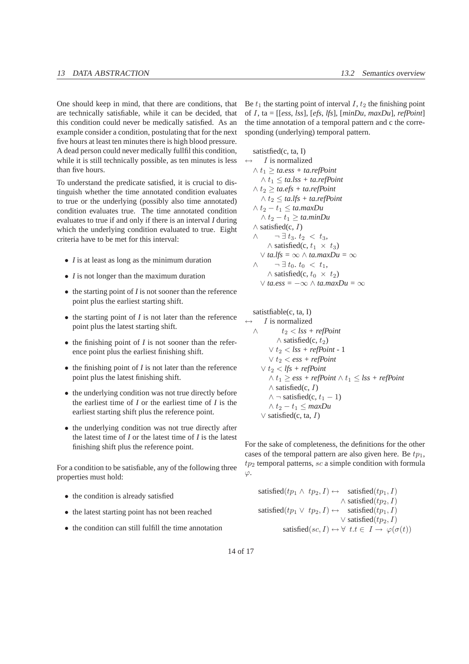One should keep in mind, that there are conditions, that are technically satisfiable, while it can be decided, that this condition could never be medically satisfied. As an example consider a condition, postulating that for the next five hours at least ten minutes there is high blood pressure. A dead person could never medically fullfil this condition, while it is still technically possible, as ten minutes is less than five hours.

To understand the predicate satisfied, it is crucial to distinguish whether the time annotated condition evaluates to true or the underlying (possibly also time annotated) condition evaluates true. The time annotated condition evaluates to true if and only if there is an interval *I* during which the underlying condition evaluated to true. Eight criteria have to be met for this interval:

- *I* is at least as long as the minimum duration
- *I* is not longer than the maximum duration
- the starting point of *I* is not sooner than the reference point plus the earliest starting shift.
- the starting point of *I* is not later than the reference point plus the latest starting shift.
- the finishing point of *I* is not sooner than the reference point plus the earliest finishing shift.
- the finishing point of *I* is not later than the reference point plus the latest finishing shift.
- the underlying condition was not true directly before the earliest time of *I* or the earliest time of *I* is the earliest starting shift plus the reference point.
- the underlying condition was not true directly after the latest time of *I* or the latest time of *I* is the latest finishing shift plus the reference point.

For a condition to be satisfiable, any of the following three properties must hold:

- the condition is already satisfied
- the latest starting point has not been reached
- the condition can still fulfill the time annotation

Be  $t_1$  the starting point of interval I,  $t_2$  the finishing point of I, ta = [[*ess*, *lss*], [*efs*, *lfs*], [*minDu*, *maxDu*], *refPoint*] the time annotation of a temporal pattern and c the corresponding (underlying) temporal pattern.

satistfied(c, ta, I) I is normalized  $\wedge t_1 > t a.ess + ta.eff$ *oint*  $\wedge t_1 \leq$  *ta.lss* + *ta.refPoint*  $\wedge t_2 \geq ta. efs + ta. refPoint$ ∧ t<sup>2</sup> ≤ *ta.lfs + ta.refPoint*  $∧ t_2 - t_1 ≤ t$ *a.maxDu*  $∧ t_2 - t_1 ≥ \text{tan}mDu$  $\wedge$  satisfied(c, *I*)  $\wedge \qquad \neg \exists t_3. t_2 < t_3,$  $\wedge$  satisfied(c,  $t_1 \times t_3$ ) ∨ *ta.lfs =* ∞ ∧ *ta.maxDu =* ∞  $\wedge \qquad \neg \exists t_0 \ldotp t_0 < t_1,$  $\wedge$  satisfied(c,  $t_0 \times t_2$ ) ∨ *ta.ess =* −∞ ∧ *ta.maxDu =* ∞

satistfiable(c, ta, I) I is normalized  $\wedge$   $t_2 <$  *lss* + *refPoint*  $\wedge$  satisfied(c, t<sub>2</sub>)  $\vee t_2$  < *lss* + *refPoint* - 1 ∨ t<sup>2</sup> < *ess + refPoint*  $∨ t<sub>2</sub> < *lfs* + *refPoint*$  $∧ t<sub>1</sub> ≥ ess + refPoint ∧ t<sub>1</sub> ≤ lss + refPoint$  $\wedge$  satisfied(c, *I*)  $\wedge \neg$  satisfied(c,  $t_1 - 1$ )  $∧ t_2 - t_1 ≤ maxDu$ ∨ satisfied(c, ta, I)

For the sake of completeness, the definitions for the other cases of the temporal pattern are also given here. Be  $tp_1$ ,  $tp_2$  temporal patterns, sc a simple condition with formula  $\varphi$ .

$$
\begin{array}{rcl}\text{satisfied}(tp_1 \wedge tp_2, I) \leftrightarrow & \text{satisfied}(tp_1, I)\\ & \wedge \text{satisfied}(tp_2, I)\\ \text{satisfied}(tp_1 \vee tp_2, I) \leftrightarrow & \text{satisfied}(tp_1, I)\\ & \vee \text{satisfied}(tp_2, I)\\ & \text{satisfied}(sc, I) \leftrightarrow \forall \ t.t \in \ I \rightarrow \varphi(\sigma(t))\end{array}
$$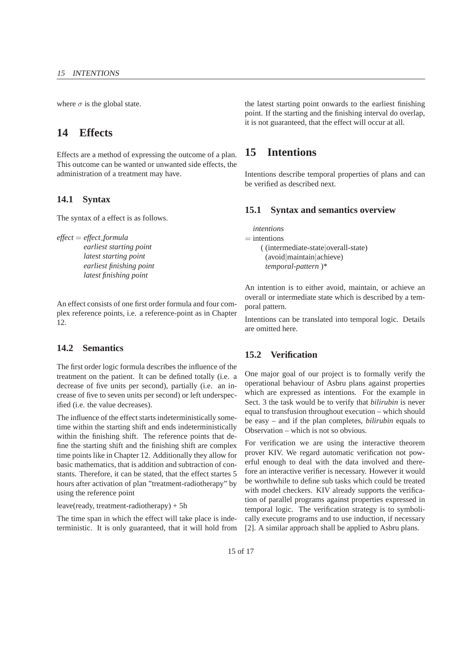where  $\sigma$  is the global state.

# **14 Effects**

Effects are a method of expressing the outcome of a plan. This outcome can be wanted or unwanted side effects, the administration of a treatment may have.

### **14.1 Syntax**

The syntax of a effect is as follows.

*effect* = *effect formula*

*earliest starting point latest starting point earliest finishing point latest finishing point*

An effect consists of one first order formula and four complex reference points, i.e. a reference-point as in Chapter 12.

#### **14.2 Semantics**

The first order logic formula describes the influence of the treatment on the patient. It can be defined totally (i.e. a decrease of five units per second), partially (i.e. an increase of five to seven units per second) or left underspecified (i.e. the value decreases).

The influence of the effect starts indeterministically sometime within the starting shift and ends indeterministically within the finishing shift. The reference points that define the starting shift and the finishing shift are complex time points like in Chapter 12. Additionally they allow for basic mathematics, that is addition and subtraction of constants. Therefore, it can be stated, that the effect startes 5 hours after activation of plan "treatment-radiotherapy" by using the reference point

#### leave(ready, treatment-radiotherapy) + 5h

The time span in which the effect will take place is indeterministic. It is only guaranteed, that it will hold from

the latest starting point onwards to the earliest finishing point. If the starting and the finishing interval do overlap, it is not guaranteed, that the effect will occur at all.

# **15 Intentions**

Intentions describe temporal properties of plans and can be verified as described next.

## **15.1 Syntax and semantics overview**

*intentions*  $=$  intentions ( (intermediate-state|overall-state) (avoid|maintain|achieve) *temporal-pattern* )\*

An intention is to either avoid, maintain, or achieve an overall or intermediate state which is described by a temporal pattern.

Intentions can be translated into temporal logic. Details are omitted here.

## **15.2 Verification**

One major goal of our project is to formally verify the operational behaviour of Asbru plans against properties which are expressed as intentions. For the example in Sect. 3 the task would be to verify that *bilirubin* is never equal to transfusion throughout execution – which should be easy – and if the plan completes, *bilirubin* equals to Observation – which is not so obvious.

For verification we are using the interactive theorem prover KIV. We regard automatic verification not powerful enough to deal with the data involved and therefore an interactive verifier is necessary. However it would be worthwhile to define sub tasks which could be treated with model checkers. KIV already supports the verification of parallel programs against properties expressed in temporal logic. The verification strategy is to symbolically execute programs and to use induction, if necessary [2]. A similar approach shall be applied to Asbru plans.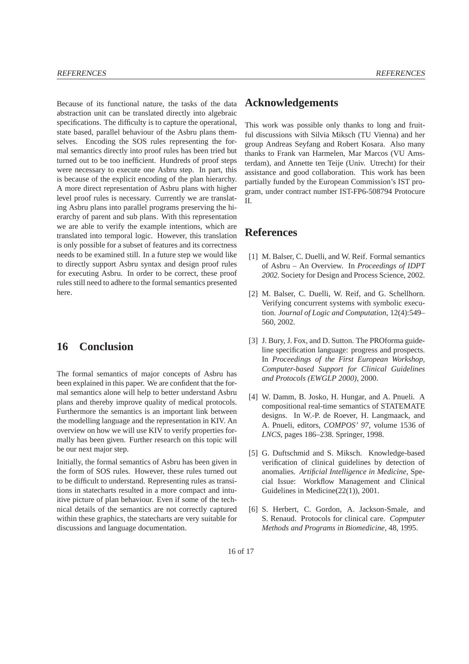Because of its functional nature, the tasks of the data abstraction unit can be translated directly into algebraic specifications. The difficulty is to capture the operational, state based, parallel behaviour of the Asbru plans themselves. Encoding the SOS rules representing the formal semantics directly into proof rules has been tried but turned out to be too inefficient. Hundreds of proof steps were necessary to execute one Asbru step. In part, this is because of the explicit encoding of the plan hierarchy. A more direct representation of Asbru plans with higher level proof rules is necessary. Currently we are translating Asbru plans into parallel programs preserving the hierarchy of parent and sub plans. With this representation we are able to verify the example intentions, which are translated into temporal logic. However, this translation is only possible for a subset of features and its correctness needs to be examined still. In a future step we would like to directly support Asbru syntax and design proof rules for executing Asbru. In order to be correct, these proof rules still need to adhere to the formal semantics presented here.

# **16 Conclusion**

The formal semantics of major concepts of Asbru has been explained in this paper. We are confident that the formal semantics alone will help to better understand Asbru plans and thereby improve quality of medical protocols. Furthermore the semantics is an important link between the modelling language and the representation in KIV. An overview on how we will use KIV to verify properties formally has been given. Further research on this topic will be our next major step.

Initially, the formal semantics of Asbru has been given in the form of SOS rules. However, these rules turned out to be difficult to understand. Representing rules as transitions in statecharts resulted in a more compact and intuitive picture of plan behaviour. Even if some of the technical details of the semantics are not correctly captured within these graphics, the statecharts are very suitable for discussions and language documentation.

# **Acknowledgements**

This work was possible only thanks to long and fruitful discussions with Silvia Miksch (TU Vienna) and her group Andreas Seyfang and Robert Kosara. Also many thanks to Frank van Harmelen, Mar Marcos (VU Amsterdam), and Annette ten Teije (Univ. Utrecht) for their assistance and good collaboration. This work has been partially funded by the European Commission's IST program, under contract number IST-FP6-508794 Protocure  $\mathbf{I}$ 

# **References**

- [1] M. Balser, C. Duelli, and W. Reif. Formal semantics of Asbru – An Overview. In *Proceedings of IDPT 2002*. Society for Design and Process Science, 2002.
- [2] M. Balser, C. Duelli, W. Reif, and G. Schellhorn. Verifying concurrent systems with symbolic execution. *Journal of Logic and Computation*, 12(4):549– 560, 2002.
- [3] J. Bury, J. Fox, and D. Sutton. The PROforma guideline specification language: progress and prospects. In *Proceedings of the First European Workshop, Computer-based Support for Clinical Guidelines and Protocols (EWGLP 2000)*, 2000.
- [4] W. Damm, B. Josko, H. Hungar, and A. Pnueli. A compositional real-time semantics of STATEMATE designs. In W.-P. de Roever, H. Langmaack, and A. Pnueli, editors, *COMPOS' 97*, volume 1536 of *LNCS*, pages 186–238. Springer, 1998.
- [5] G. Duftschmid and S. Miksch. Knowledge-based verification of clinical guidelines by detection of anomalies. *Artificial Intelligence in Medicine*, Special Issue: Workflow Management and Clinical Guidelines in Medicine(22(1)), 2001.
- [6] S. Herbert, C. Gordon, A. Jackson-Smale, and S. Renaud. Protocols for clinical care. *Copmputer Methods and Programs in Biomedicine*, 48, 1995.